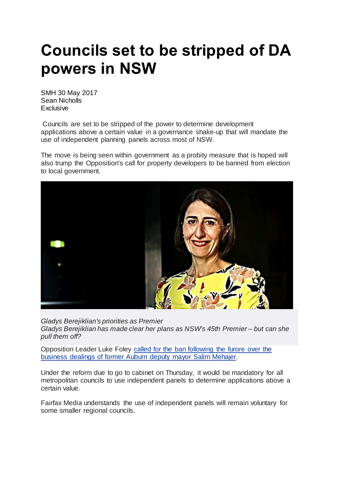## **Councils set to be stripped of DA powers in NSW**

SMH 30 May 2017 Sean Nicholls **Exclusive** 

[C](http://www.smh.com.au/nsw/by/Sean-Nicholls-hve14)ouncils are set to be stripped of the power to determine development applications above a certain value in a governance shake-up that will mandate the use of independent planning panels across most of NSW.

The move is being seen within government as a probity measure that is hoped will also trump the Opposition's call for property developers to be banned from election to local government.



*Gladys Berejiklian's priorities as Premier Gladys Berejiklian has made clear her plans as NSW's 45th Premier – but can she pull them off?*

Opposition Leader Luke Foley called for the ban [following](http://www.smh.com.au/nsw/luke-foley-wants-property-developers-banned-from-councils-20150820-gj3pdj.html) the furore over the [business](http://www.smh.com.au/nsw/luke-foley-wants-property-developers-banned-from-councils-20150820-gj3pdj.html) dealings of former Auburn deputy mayor Salim Mehajer.

Under the reform due to go to cabinet on Thursday, it would be mandatory for all metropolitan councils to use independent panels to determine applications above a certain value.

Fairfax Media understands the use of independent panels will remain voluntary for some smaller regional councils.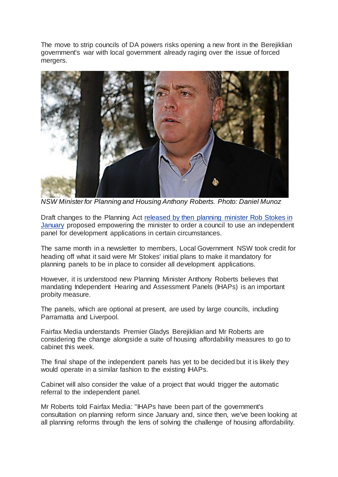The move to strip councils of DA powers risks opening a new front in the Berejiklian government's war with local government already raging over the issue of forced mergers.



*NSW Minister for Planning and Housing Anthony Roberts. Photo: Daniel Munoz*

Draft changes to the Planning Act [released](http://www.smh.com.au/nsw/nsw-planning-laws-overhauled-to-boost-housing-supply-20170108-gtnpmf.html) by then planning minister Rob Stokes in [January](http://www.smh.com.au/nsw/nsw-planning-laws-overhauled-to-boost-housing-supply-20170108-gtnpmf.html) proposed empowering the minister to order a council to use an independent panel for development applications in certain circumstances.

The same month in a newsletter to members, Local Government NSW took credit for heading off what it said were Mr Stokes' initial plans to make it mandatory for planning panels to be in place to consider all development applications.

However, it is understood new Planning Minister Anthony Roberts believes that mandating Independent Hearing and Assessment Panels (IHAPs) is an important probity measure.

The panels, which are optional at present, are used by large councils, including Parramatta and Liverpool.

Fairfax Media understands Premier Gladys Berejiklian and Mr Roberts are considering the change alongside a suite of housing affordability measures to go to cabinet this week.

The final shape of the independent panels has yet to be decided but it is likely they would operate in a similar fashion to the existing IHAPs.

Cabinet will also consider the value of a project that would trigger the automatic referral to the independent panel.

Mr Roberts told Fairfax Media: "IHAPs have been part of the government's consultation on planning reform since January and, since then, we've been looking at all planning reforms through the lens of solving the challenge of housing affordability.